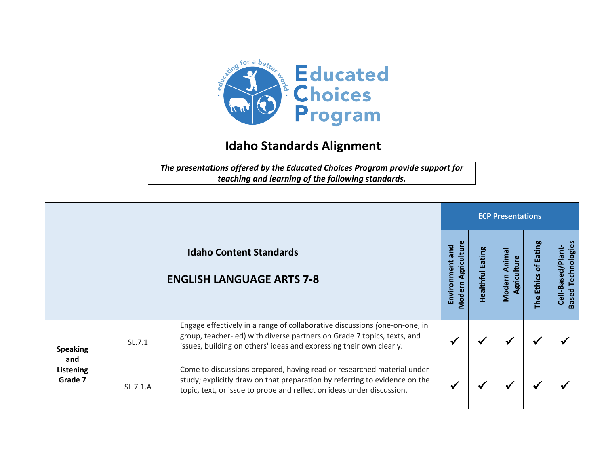

## **Idaho Standards Alignment**

*The presentations offered by the Educated Choices Program provide support for teaching and learning of the following standards.*

|                                                |          |                                                                                                                                                                                                                               | <b>ECP Presentations</b>              |                     |                                       |                         |                                                   |  |  |
|------------------------------------------------|----------|-------------------------------------------------------------------------------------------------------------------------------------------------------------------------------------------------------------------------------|---------------------------------------|---------------------|---------------------------------------|-------------------------|---------------------------------------------------|--|--|
|                                                |          | <b>Idaho Content Standards</b><br><b>ENGLISH LANGUAGE ARTS 7-8</b>                                                                                                                                                            | Modern Agriculture<br>Environment and | Eating<br>Healthful | Anima<br>Agriculture<br><b>Modern</b> | of Eating<br>The Ethics | Technologies<br>Cell-Based/Plant-<br><b>Based</b> |  |  |
| <b>Speaking</b><br>and<br>Listening<br>Grade 7 | SL.7.1   | Engage effectively in a range of collaborative discussions (one-on-one, in<br>group, teacher-led) with diverse partners on Grade 7 topics, texts, and<br>issues, building on others' ideas and expressing their own clearly.  |                                       |                     | ₩                                     |                         |                                                   |  |  |
|                                                | SL.7.1.A | Come to discussions prepared, having read or researched material under<br>study; explicitly draw on that preparation by referring to evidence on the<br>topic, text, or issue to probe and reflect on ideas under discussion. |                                       |                     | ✔                                     |                         |                                                   |  |  |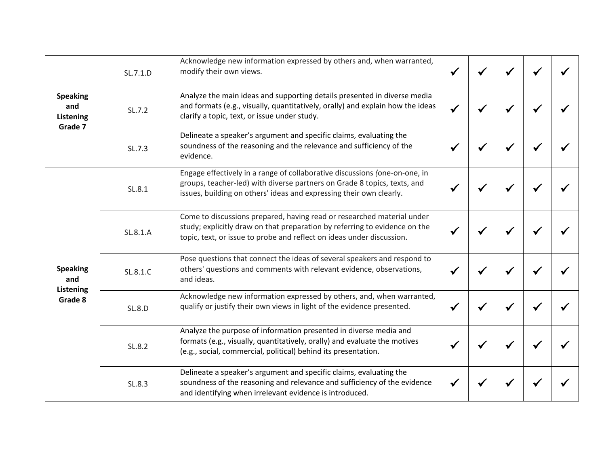| <b>Speaking</b><br>and<br>Listening<br>Grade 7        | SL.7.1.D      | Acknowledge new information expressed by others and, when warranted,<br>modify their own views.                                                                                                                               | $\checkmark$ |              |  |
|-------------------------------------------------------|---------------|-------------------------------------------------------------------------------------------------------------------------------------------------------------------------------------------------------------------------------|--------------|--------------|--|
|                                                       | SL.7.2        | Analyze the main ideas and supporting details presented in diverse media<br>and formats (e.g., visually, quantitatively, orally) and explain how the ideas<br>clarify a topic, text, or issue under study.                    | $\checkmark$ |              |  |
|                                                       | SL.7.3        | Delineate a speaker's argument and specific claims, evaluating the<br>soundness of the reasoning and the relevance and sufficiency of the<br>evidence.                                                                        |              |              |  |
| <b>Speaking</b><br>and<br><b>Listening</b><br>Grade 8 | SL.8.1        | Engage effectively in a range of collaborative discussions (one-on-one, in<br>groups, teacher-led) with diverse partners on Grade 8 topics, texts, and<br>issues, building on others' ideas and expressing their own clearly. |              | √            |  |
|                                                       | SL.8.1.A      | Come to discussions prepared, having read or researched material under<br>study; explicitly draw on that preparation by referring to evidence on the<br>topic, text, or issue to probe and reflect on ideas under discussion. |              | ✔            |  |
|                                                       | SL.8.1.C      | Pose questions that connect the ideas of several speakers and respond to<br>others' questions and comments with relevant evidence, observations,<br>and ideas.                                                                |              | √            |  |
|                                                       | <b>SL.8.D</b> | Acknowledge new information expressed by others, and, when warranted,<br>qualify or justify their own views in light of the evidence presented.                                                                               |              | $\checkmark$ |  |
|                                                       | SL.8.2        | Analyze the purpose of information presented in diverse media and<br>formats (e.g., visually, quantitatively, orally) and evaluate the motives<br>(e.g., social, commercial, political) behind its presentation.              |              | $\checkmark$ |  |
|                                                       | SL.8.3        | Delineate a speaker's argument and specific claims, evaluating the<br>soundness of the reasoning and relevance and sufficiency of the evidence<br>and identifying when irrelevant evidence is introduced.                     |              |              |  |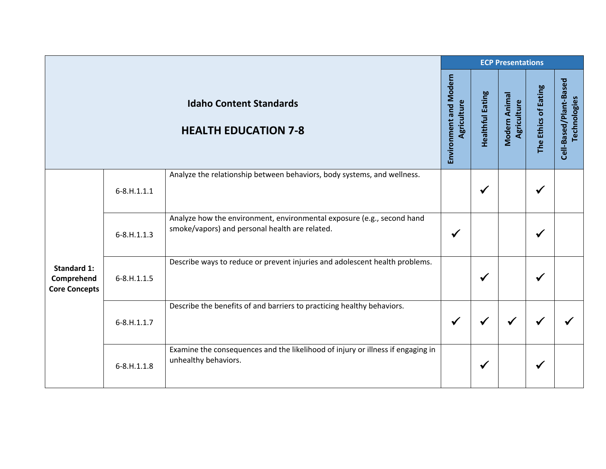|                                                          |                   |                                                                                                                          | <b>ECP Presentations</b>                     |                         |                              |                      |                                        |
|----------------------------------------------------------|-------------------|--------------------------------------------------------------------------------------------------------------------------|----------------------------------------------|-------------------------|------------------------------|----------------------|----------------------------------------|
|                                                          |                   | <b>Idaho Content Standards</b><br><b>HEALTH EDUCATION 7-8</b>                                                            | <b>Environment and Modern</b><br>Agriculture | <b>Healthful Eating</b> | Modern Animal<br>Agriculture | The Ethics of Eating | Cell-Based/Plant-Based<br>Technologies |
| <b>Standard 1:</b><br>Comprehend<br><b>Core Concepts</b> | $6 - 8. H.1.1.1$  | Analyze the relationship between behaviors, body systems, and wellness.                                                  |                                              | $\checkmark$            |                              |                      |                                        |
|                                                          | $6 - 8. H. 1.1.3$ | Analyze how the environment, environmental exposure (e.g., second hand<br>smoke/vapors) and personal health are related. | √                                            |                         |                              |                      |                                        |
|                                                          | $6 - 8. H. 1.1.5$ | Describe ways to reduce or prevent injuries and adolescent health problems.                                              |                                              | $\checkmark$            |                              |                      |                                        |
|                                                          | $6 - 8. H. 1.1.7$ | Describe the benefits of and barriers to practicing healthy behaviors.                                                   | $\checkmark$                                 | √                       |                              |                      |                                        |
|                                                          | $6 - 8. H. 1.1.8$ | Examine the consequences and the likelihood of injury or illness if engaging in<br>unhealthy behaviors.                  |                                              | $\checkmark$            |                              | ✔                    |                                        |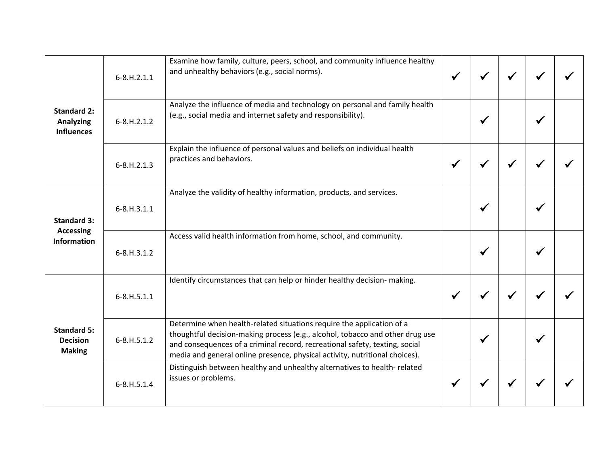| <b>Standard 2:</b><br><b>Analyzing</b><br><b>Influences</b>  | $6 - 8. H. 2.1.1$   | Examine how family, culture, peers, school, and community influence healthy<br>and unhealthy behaviors (e.g., social norms).                                                                                                                                                                                         |   |  |  |
|--------------------------------------------------------------|---------------------|----------------------------------------------------------------------------------------------------------------------------------------------------------------------------------------------------------------------------------------------------------------------------------------------------------------------|---|--|--|
|                                                              | $6 - 8. H. 2.1.2$   | Analyze the influence of media and technology on personal and family health<br>(e.g., social media and internet safety and responsibility).                                                                                                                                                                          |   |  |  |
|                                                              | $6 - 8. H. 2.1.3$   | Explain the influence of personal values and beliefs on individual health<br>practices and behaviors.                                                                                                                                                                                                                |   |  |  |
| <b>Standard 3:</b><br><b>Accessing</b><br><b>Information</b> | $6 - 8. H. 3.1.1$   | Analyze the validity of healthy information, products, and services.                                                                                                                                                                                                                                                 | ✔ |  |  |
|                                                              | $6 - 8. H. 3.1.2$   | Access valid health information from home, school, and community.                                                                                                                                                                                                                                                    |   |  |  |
| <b>Standard 5:</b><br><b>Decision</b><br><b>Making</b>       | $6 - 8. H. 5. 1.1$  | Identify circumstances that can help or hinder healthy decision- making.                                                                                                                                                                                                                                             |   |  |  |
|                                                              | $6 - 8. H. 5. 1. 2$ | Determine when health-related situations require the application of a<br>thoughtful decision-making process (e.g., alcohol, tobacco and other drug use<br>and consequences of a criminal record, recreational safety, texting, social<br>media and general online presence, physical activity, nutritional choices). |   |  |  |
|                                                              | $6 - 8. H. 5.1.4$   | Distinguish between healthy and unhealthy alternatives to health-related<br>issues or problems.                                                                                                                                                                                                                      |   |  |  |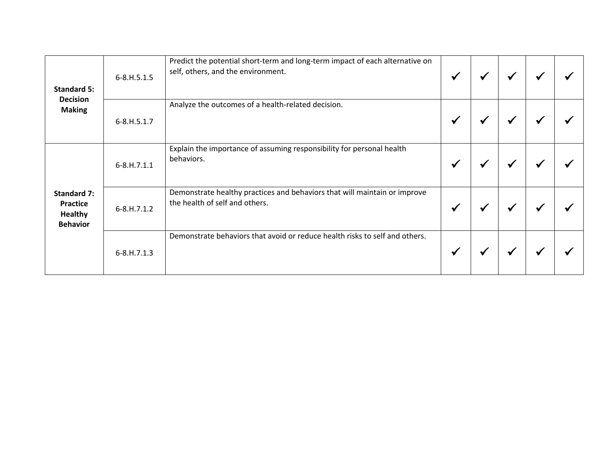| <b>Standard 5:</b><br><b>Decision</b><br><b>Making</b>                     | $6 - 8. H. 5. 1.5$ | Predict the potential short-term and long-term impact of each alternative on<br>self, others, and the environment. | $\checkmark$ | ✔ | ✔ |  |
|----------------------------------------------------------------------------|--------------------|--------------------------------------------------------------------------------------------------------------------|--------------|---|---|--|
|                                                                            | 6-8.H.5.1.7        | Analyze the outcomes of a health-related decision.                                                                 | ✔            | ₩ | √ |  |
| <b>Standard 7:</b><br><b>Practice</b><br><b>Healthy</b><br><b>Behavior</b> | $6 - 8. H.7.1.1$   | Explain the importance of assuming responsibility for personal health<br>behaviors.                                | ✔            | ₩ | ✔ |  |
|                                                                            | $6 - 8. H.7.1.2$   | Demonstrate healthy practices and behaviors that will maintain or improve<br>the health of self and others.        | ✔            |   | ✔ |  |
|                                                                            | $6 - 8. H.7.1.3$   | Demonstrate behaviors that avoid or reduce health risks to self and others.                                        | ₩            | ✔ | ✔ |  |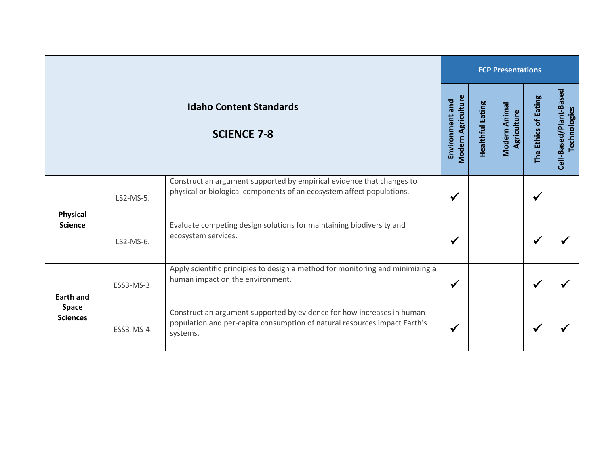|                                                      |            |                                                                                                                                                                 | <b>ECP Presentations</b>                     |                         |                              |                      |                                        |  |  |
|------------------------------------------------------|------------|-----------------------------------------------------------------------------------------------------------------------------------------------------------------|----------------------------------------------|-------------------------|------------------------------|----------------------|----------------------------------------|--|--|
| <b>Idaho Content Standards</b><br><b>SCIENCE 7-8</b> |            |                                                                                                                                                                 | <b>Modern Agriculture</b><br>Environment and | <b>Healthful Eating</b> | Modern Animal<br>Agriculture | The Ethics of Eating | Cell-Based/Plant-Based<br>Technologies |  |  |
| <b>Physical</b><br><b>Science</b>                    | LS2-MS-5.  | Construct an argument supported by empirical evidence that changes to<br>physical or biological components of an ecosystem affect populations.                  | ✔                                            |                         |                              | $\checkmark$         |                                        |  |  |
|                                                      | LS2-MS-6.  | Evaluate competing design solutions for maintaining biodiversity and<br>ecosystem services.                                                                     | ✔                                            |                         |                              | √                    |                                        |  |  |
| <b>Earth and</b><br><b>Space</b><br><b>Sciences</b>  | ESS3-MS-3. | Apply scientific principles to design a method for monitoring and minimizing a<br>human impact on the environment.                                              | ✔                                            |                         |                              | ✔                    |                                        |  |  |
|                                                      | ESS3-MS-4. | Construct an argument supported by evidence for how increases in human<br>population and per-capita consumption of natural resources impact Earth's<br>systems. | √                                            |                         |                              | $\checkmark$         |                                        |  |  |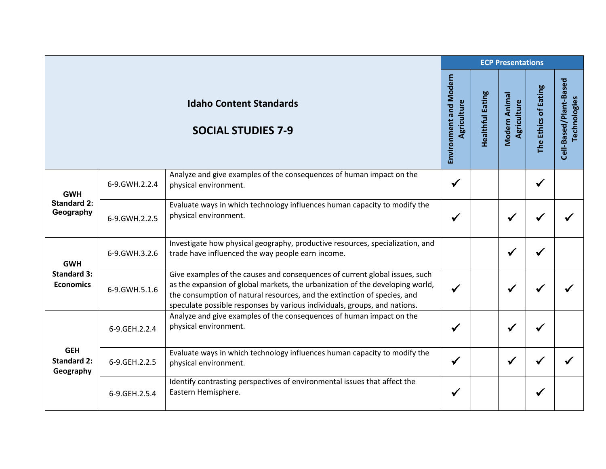|                                                      |               |                                                                                                                                                                                                                                                                                                                       | <b>ECP Presentations</b>              |                         |                              |                      |                                        |  |  |
|------------------------------------------------------|---------------|-----------------------------------------------------------------------------------------------------------------------------------------------------------------------------------------------------------------------------------------------------------------------------------------------------------------------|---------------------------------------|-------------------------|------------------------------|----------------------|----------------------------------------|--|--|
|                                                      |               | <b>Idaho Content Standards</b><br><b>SOCIAL STUDIES 7-9</b>                                                                                                                                                                                                                                                           | Environment and Modern<br>Agriculture | <b>Healthful Eating</b> | Modern Animal<br>Agriculture | The Ethics of Eating | Cell-Based/Plant-Based<br>Technologies |  |  |
| <b>GWH</b><br><b>Standard 2:</b><br>Geography        | 6-9.GWH.2.2.4 | Analyze and give examples of the consequences of human impact on the<br>physical environment.                                                                                                                                                                                                                         | $\checkmark$                          |                         |                              | $\checkmark$         |                                        |  |  |
|                                                      | 6-9.GWH.2.2.5 | Evaluate ways in which technology influences human capacity to modify the<br>physical environment.                                                                                                                                                                                                                    | $\checkmark$                          |                         | $\checkmark$                 |                      |                                        |  |  |
| <b>GWH</b><br><b>Standard 3:</b><br><b>Economics</b> | 6-9.GWH.3.2.6 | Investigate how physical geography, productive resources, specialization, and<br>trade have influenced the way people earn income.                                                                                                                                                                                    |                                       |                         | ✔                            | ✔                    |                                        |  |  |
|                                                      | 6-9.GWH.5.1.6 | Give examples of the causes and consequences of current global issues, such<br>as the expansion of global markets, the urbanization of the developing world,<br>the consumption of natural resources, and the extinction of species, and<br>speculate possible responses by various individuals, groups, and nations. | $\checkmark$                          |                         | $\checkmark$                 |                      |                                        |  |  |
| <b>GEH</b><br><b>Standard 2:</b><br>Geography        | 6-9.GEH.2.2.4 | Analyze and give examples of the consequences of human impact on the<br>physical environment.                                                                                                                                                                                                                         | $\checkmark$                          |                         | $\checkmark$                 |                      |                                        |  |  |
|                                                      | 6-9.GEH.2.2.5 | Evaluate ways in which technology influences human capacity to modify the<br>physical environment.                                                                                                                                                                                                                    | $\checkmark$                          |                         | $\checkmark$                 |                      |                                        |  |  |
|                                                      | 6-9.GEH.2.5.4 | Identify contrasting perspectives of environmental issues that affect the<br>Eastern Hemisphere.                                                                                                                                                                                                                      | √                                     |                         |                              | ✔                    |                                        |  |  |